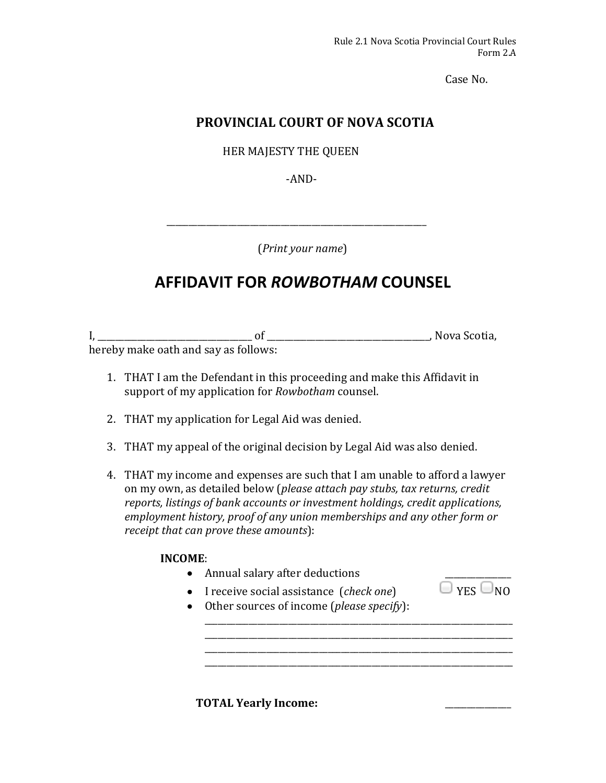Case No.

## **PROVINCIAL COURT OF NOVA SCOTIA**

HER MAJESTY THE QUEEN

‐AND‐ 

(*Print your name*) 

# **AFFIDAVIT FOR** *ROWBOTHAM* **COUNSEL**

I, \_\_\_\_\_\_\_\_\_\_\_\_\_\_\_\_\_\_\_\_\_\_\_\_\_\_\_\_\_\_\_\_\_\_\_ of \_\_\_\_\_\_\_\_\_\_\_\_\_\_\_\_\_\_\_\_\_\_\_\_\_\_\_\_\_\_\_\_\_\_\_\_\_, Nova Scotia, hereby make oath and say as follows:

- 1. THAT I am the Defendant in this proceeding and make this Affidavit in support of my application for *Rowbotham* counsel.
- 2. THAT my application for Legal Aid was denied.
- 3. THAT my appeal of the original decision by Legal Aid was also denied.
- 4. THAT my income and expenses are such that I am unable to afford a lawyer on my own, as detailed below (*please attach pay stubs, tax returns, credit reports, listings of bank accounts or investment holdings, credit applications, employment history, proof of any union memberships and any other form or receipt that can prove these amounts*):

### **INCOME**:

- Annual salary after deductions
- I receive social assistance  $(\text{check one})$   $\Box$  YES  $\Box$  NO
- Other sources of income (*please specify*):

\_\_\_\_\_\_\_\_\_\_\_\_\_\_\_\_\_\_\_\_\_\_\_\_\_\_\_\_\_\_\_\_\_\_\_\_\_\_\_\_\_\_\_\_\_\_\_\_\_\_\_\_\_\_\_\_\_\_\_\_\_\_\_\_\_\_\_\_\_\_ \_\_\_\_\_\_\_\_\_\_\_\_\_\_\_\_\_\_\_\_\_\_\_\_\_\_\_\_\_\_\_\_\_\_\_\_\_\_\_\_\_\_\_\_\_\_\_\_\_\_\_\_\_\_\_\_\_\_\_\_\_\_\_\_\_\_\_\_\_\_ \_\_\_\_\_\_\_\_\_\_\_\_\_\_\_\_\_\_\_\_\_\_\_\_\_\_\_\_\_\_\_\_\_\_\_\_\_\_\_\_\_\_\_\_\_\_\_\_\_\_\_\_\_\_\_\_\_\_\_\_\_\_\_\_\_\_\_\_\_\_

**TOTAL** Yearly **Income:**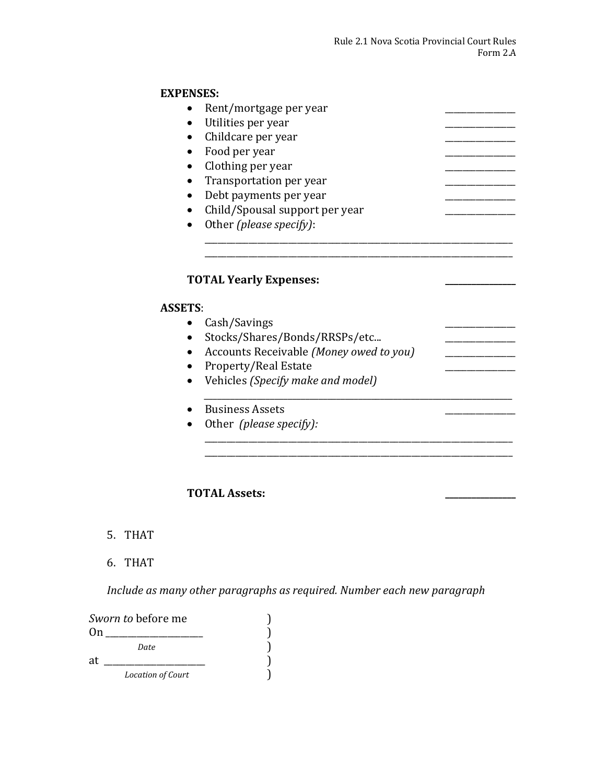## **EXPENSES:**

| Rent/mortgage per year                                    |  |
|-----------------------------------------------------------|--|
| Utilities per year                                        |  |
| Childcare per year                                        |  |
| Food per year                                             |  |
| Clothing per year                                         |  |
| Transportation per year                                   |  |
| Debt payments per year                                    |  |
| Child/Spousal support per year                            |  |
| Other (please specify):                                   |  |
|                                                           |  |
|                                                           |  |
|                                                           |  |
|                                                           |  |
| <b>TOTAL Yearly Expenses:</b>                             |  |
|                                                           |  |
| <b>ASSETS:</b>                                            |  |
| Cash/Savings                                              |  |
| Stocks/Shares/Bonds/RRSPs/etc                             |  |
| Accounts Receivable (Money owed to you)                   |  |
|                                                           |  |
| Property/Real Estate<br>Vehicles (Specify make and model) |  |
|                                                           |  |
| <b>Business Assets</b>                                    |  |

\_\_\_\_\_\_\_\_\_\_\_\_\_\_\_\_\_\_\_\_\_\_\_\_\_\_\_\_\_\_\_\_\_\_\_\_\_\_\_\_\_\_\_\_\_\_\_\_\_\_\_\_\_\_\_\_\_\_\_\_\_\_\_\_\_\_\_\_\_\_ \_\_\_\_\_\_\_\_\_\_\_\_\_\_\_\_\_\_\_\_\_\_\_\_\_\_\_\_\_\_\_\_\_\_\_\_\_\_\_\_\_\_\_\_\_\_\_\_\_\_\_\_\_\_\_\_\_\_\_\_\_\_\_\_\_\_\_\_\_\_

### **TOTAL Assets: \_\_\_\_\_\_\_\_\_\_\_\_\_\_\_\_**

- 5. THAT
- 6. THAT

*Include as many other paragraphs as required. Number each new paragraph*

| <i>Sworn to</i> before me |                          |  |
|---------------------------|--------------------------|--|
| 0n                        |                          |  |
|                           | Date                     |  |
| at                        |                          |  |
|                           | <b>Location of Court</b> |  |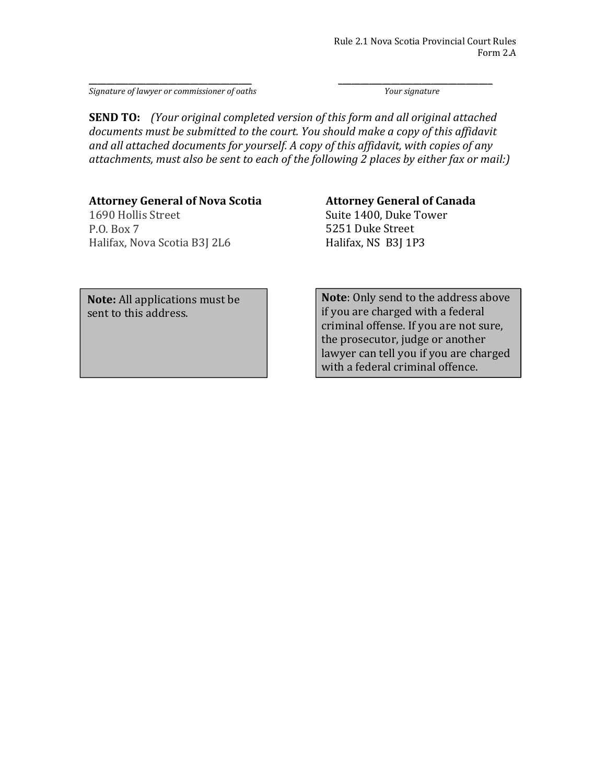\_\_\_\_\_\_\_\_\_\_\_\_\_\_\_\_\_\_\_\_\_\_\_\_\_\_\_\_\_\_\_\_\_\_\_\_\_ \_\_\_\_\_\_\_\_\_\_\_\_\_\_\_\_\_\_\_\_\_\_\_\_\_\_\_\_\_\_\_\_\_\_\_ *Signature of lawyer or commissioner of oaths Your signature*

**SEND TO:** *(Your original completed version of this form and all original attached documents must be submitted to the court. You should make a copy of this affidavit and all attached documents for yourself. A copy of this affidavit, with copies of any attachments, must also be sent to each of the following 2 places by either fax or mail:)*

#### **Attorney General of Nova Scotia**

1690 Hollis Street P.O. Box 7 Halifax, Nova Scotia B3J 2L6

#### **Attorney General of Canada**

Suite 1400, Duke Tower 5251 Duke Street Halifax, NS B3J 1P3

**Note:** All applications must be sent to this address.

**Note**: Only send to the address above if you are charged with a federal criminal offense. If you are not sure, the prosecutor, judge or another lawyer can tell you if you are charged with a federal criminal offence.